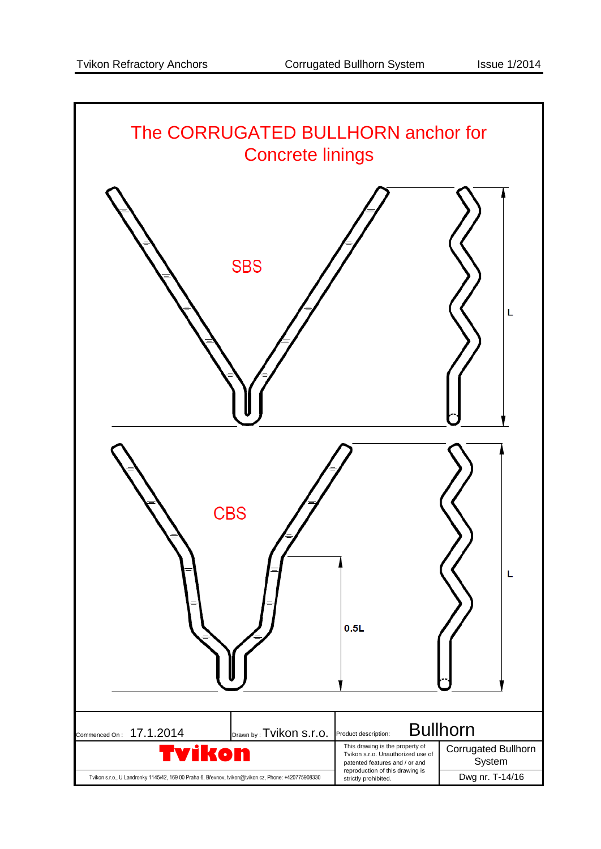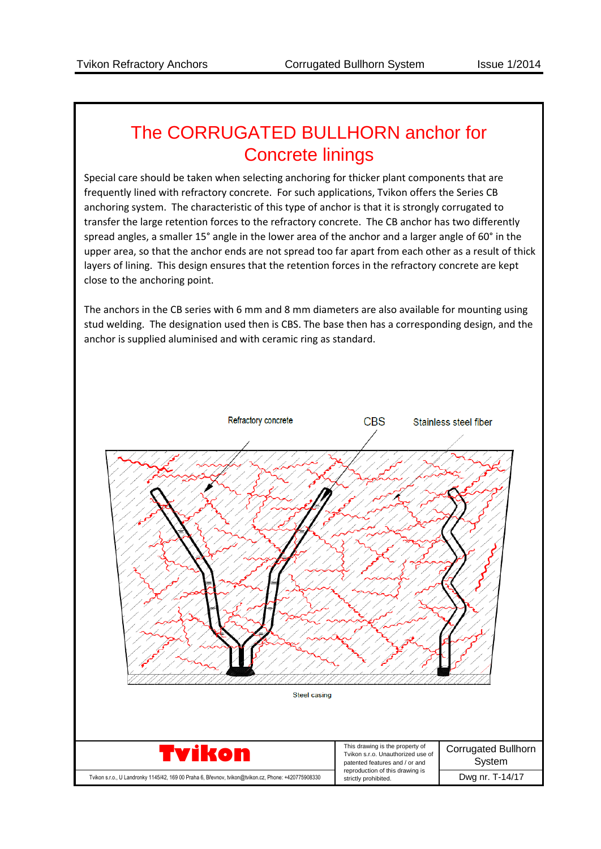## The CORRUGATED BULLHORN anchor for Concrete linings

Special care should be taken when selecting anchoring for thicker plant components that are frequently lined with refractory concrete. For such applications, Tvikon offers the Series CB anchoring system. The characteristic of this type of anchor is that it is strongly corrugated to transfer the large retention forces to the refractory concrete. The CB anchor has two differently spread angles, a smaller 15° angle in the lower area of the anchor and a larger angle of 60° in the upper area, so that the anchor ends are not spread too far apart from each other as a result of thick layers of lining. This design ensures that the retention forces in the refractory concrete are kept close to the anchoring point.

The anchors in the CB series with 6 mm and 8 mm diameters are also available for mounting using stud welding. The designation used then is CBS. The base then has a corresponding design, and the anchor is supplied aluminised and with ceramic ring as standard.

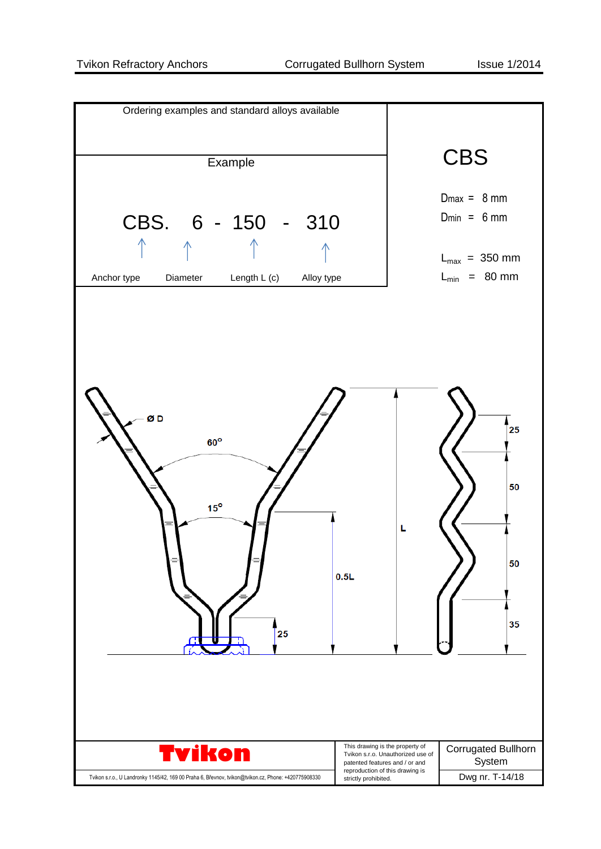